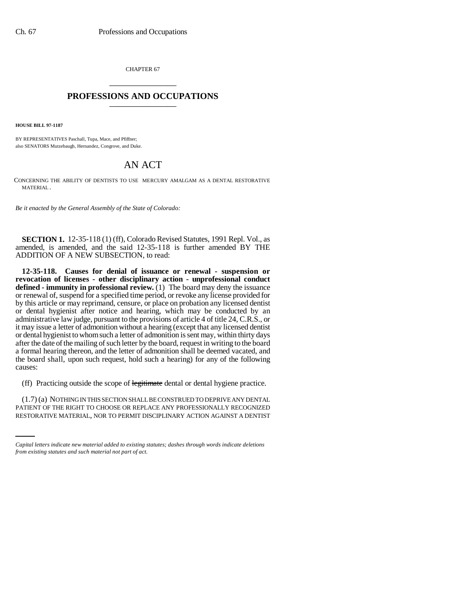CHAPTER 67 \_\_\_\_\_\_\_\_\_\_\_\_\_\_\_

## **PROFESSIONS AND OCCUPATIONS** \_\_\_\_\_\_\_\_\_\_\_\_\_\_\_

**HOUSE BILL 97-1187**

BY REPRESENTATIVES Paschall, Tupa, Mace, and Pfiffner; also SENATORS Mutzebaugh, Hernandez, Congrove, and Duke.

## AN ACT

CONCERNING THE ABILITY OF DENTISTS TO USE MERCURY AMALGAM AS A DENTAL RESTORATIVE MATERIAL.

*Be it enacted by the General Assembly of the State of Colorado:*

**SECTION 1.** 12-35-118 (1) (ff), Colorado Revised Statutes, 1991 Repl. Vol., as amended, is amended, and the said 12-35-118 is further amended BY THE ADDITION OF A NEW SUBSECTION, to read:

**12-35-118. Causes for denial of issuance or renewal - suspension or revocation of licenses - other disciplinary action - unprofessional conduct defined - immunity in professional review.** (1) The board may deny the issuance or renewal of, suspend for a specified time period, or revoke any license provided for by this article or may reprimand, censure, or place on probation any licensed dentist or dental hygienist after notice and hearing, which may be conducted by an administrative law judge, pursuant to the provisions of article 4 of title 24, C.R.S., or it may issue a letter of admonition without a hearing (except that any licensed dentist or dental hygienist to whom such a letter of admonition is sent may, within thirty days after the date of the mailing of such letter by the board, request in writing to the board a formal hearing thereon, and the letter of admonition shall be deemed vacated, and the board shall, upon such request, hold such a hearing) for any of the following causes:

(ff) Practicing outside the scope of legitimate dental or dental hygiene practice.

(1.7) (a) NOTHING IN THIS SECTION SHALL BE CONSTRUED TO DEPRIVE ANY DENTAL PATIENT OF THE RIGHT TO CHOOSE OR REPLACE ANY PROFESSIONALLY RECOGNIZED RESTORATIVE MATERIAL, NOR TO PERMIT DISCIPLINARY ACTION AGAINST A DENTIST

*Capital letters indicate new material added to existing statutes; dashes through words indicate deletions from existing statutes and such material not part of act.*